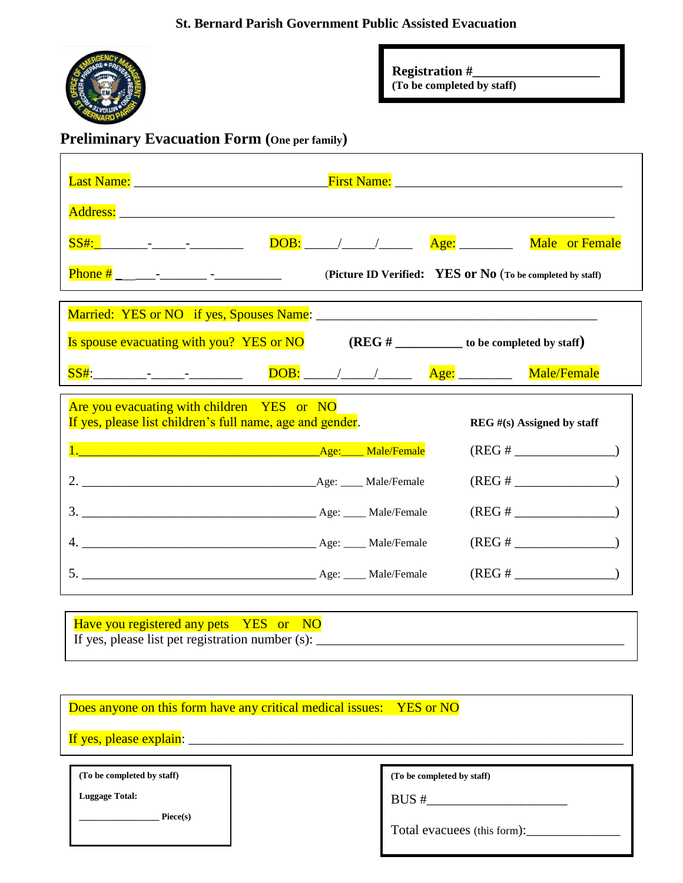

**Registration #\_\_\_\_\_\_\_\_\_\_\_\_\_\_\_\_\_\_\_**

**(To be completed by staff)**

# **Preliminary Evacuation Form (One per family)**

| Last Name: Name: Name and Allen Manual Account of the Manual Account of the Manual Account of the Manual Account of the Manual Account of the Manual Account of the Manual Account of the Manual Account of the Manual Account |  |  |                                                     |                |  |
|--------------------------------------------------------------------------------------------------------------------------------------------------------------------------------------------------------------------------------|--|--|-----------------------------------------------------|----------------|--|
|                                                                                                                                                                                                                                |  |  |                                                     |                |  |
|                                                                                                                                                                                                                                |  |  | Age: _________                                      | Male or Female |  |
| Phone # _______- _________ -______________<br>(Picture ID Verified: YES or No (To be completed by staff)                                                                                                                       |  |  |                                                     |                |  |
|                                                                                                                                                                                                                                |  |  |                                                     |                |  |
| Is spouse evacuating with you? YES or NO                                                                                                                                                                                       |  |  | $(REG \#$ to be completed by staff)                 |                |  |
|                                                                                                                                                                                                                                |  |  |                                                     | Male/Female    |  |
| Are you evacuating with children YES or NO<br>If yes, please list children's full name, age and gender.<br>$REG \#(s)$ Assigned by staff                                                                                       |  |  |                                                     |                |  |
| 1. Male/Female                                                                                                                                                                                                                 |  |  |                                                     |                |  |
|                                                                                                                                                                                                                                |  |  | $(REG # \_ \_ \_ \_ \_ \_ \_ \_ \_ \_$              |                |  |
|                                                                                                                                                                                                                                |  |  | $(REG \#$                                           |                |  |
|                                                                                                                                                                                                                                |  |  | $(REG # \_ \_ \_ \_ \_ \_ \_ \_ \_ \_$              |                |  |
|                                                                                                                                                                                                                                |  |  | $(REG \# \_ \_ \_ \_ \_ \_ \_ \_ \_ \_ \_ \_ \_ \_$ |                |  |
| Have you registered any pets YES or NO                                                                                                                                                                                         |  |  |                                                     |                |  |

Does anyone on this form have any critical medical issues: YES or NO

If yes, please explain: \_\_\_\_\_\_\_\_\_\_\_\_\_\_\_\_\_\_\_\_\_\_\_\_\_\_\_\_\_\_\_\_\_\_\_\_\_\_\_\_\_\_\_\_\_\_\_\_\_\_\_\_\_\_\_\_\_\_\_\_\_\_\_\_\_

**(To be completed by staff)**

**Luggage Total:**

**\_\_\_\_\_\_\_\_\_\_\_\_\_\_\_\_\_\_ Piece(s)**

**(To be completed by staff)**

 $BUS \#$ 

Total evacuees (this form):